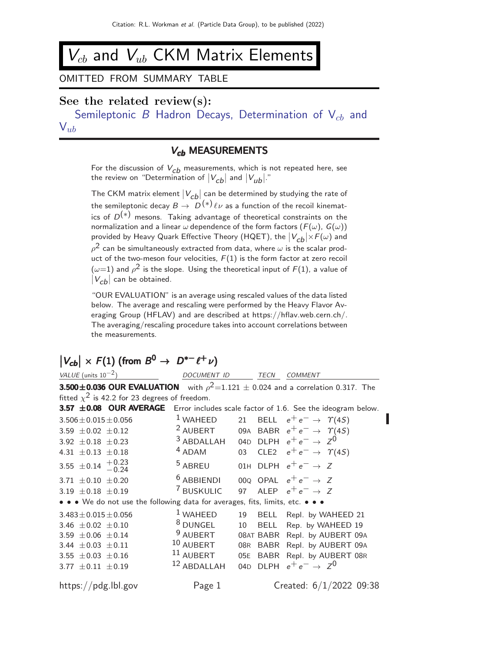## $\mathcal{V}_{cb}$  and  $\mathcal{V}_{ub}$  CKM Matrix Elements

## OMITTED FROM SUMMARY TABLE

## See the related review(s):

Semileptonic B Hadron Decays, Determination of  $V_{cb}$  and  $V_{ub}$  $V_{ub}$  $V_{ub}$ 

## V<sub>cb</sub> MEASUREMENTS

For the discussion of  $V_{\mathcal{C}b}$  measurements, which is not repeated here, see the review on "Determination of  $|V_{\mathcal{C}b}|$  and  $|V_{ub}|$ ."

The CKM matrix element  $|V_{cb}|$  can be determined by studying the rate of the semileptonic decay  $B \to D^{(*)} \ell \nu$  as a function of the recoil kinematics of  $D^{(*)}$  mesons. Taking advantage of theoretical constraints on the normalization and a linear  $\omega$  dependence of the form factors  $(F(\omega), G(\omega))$ provided by Heavy Quark Effective Theory (HQET), the  $|V_{\bm{C} \bm{b}}| \times F(\omega)$  and  $\rho^{\mathsf{2}}$  can be simultaneously extracted from data, where  $\omega$  is the scalar product of the two-meson four velocities,  $F(1)$  is the form factor at zero recoil  $(\omega{=}1)$  and  $\rho^2$  is the slope. Using the theoretical input of  $F(1)$ , a value of  $|V_{cb}|$  can be obtained.

"OUR EVALUATION" is an average using rescaled values of the data listed below. The average and rescaling were performed by the Heavy Flavor Averaging Group (HFLAV) and are described at https://hflav.web.cern.ch/. The averaging/rescaling procedure takes into account correlations between the measurements.

# $|V_{cb}| \times F(1)$  (from  $B^0 \to D^{*-}\ell^+\nu$ )

| VALUE (units $10^{-2}$ )                                                                       | DOCUMENT ID TECN COMMENT                                |    |          |                                          |  |  |  |
|------------------------------------------------------------------------------------------------|---------------------------------------------------------|----|----------|------------------------------------------|--|--|--|
| <b>3.500±0.036 OUR EVALUATION</b> with $\rho^2 = 1.121 \pm 0.024$ and a correlation 0.317. The |                                                         |    |          |                                          |  |  |  |
| fitted $\chi^2$ is 42.2 for 23 degrees of freedom.                                             |                                                         |    |          |                                          |  |  |  |
| 3.57 ±0.08 OUR AVERAGE Error includes scale factor of 1.6. See the ideogram below.             |                                                         |    |          |                                          |  |  |  |
| $3.506 \pm 0.015 \pm 0.056$                                                                    | $1$ WAHEED                                              |    |          | 21 BELL $e^+e^- \rightarrow \gamma(45)$  |  |  |  |
| 3.59 $\pm$ 0.02 $\pm$ 0.12                                                                     | <sup>2</sup> AUBERT                                     |    |          | 09A BABR $e^+e^- \rightarrow \gamma(4S)$ |  |  |  |
| 3.92 $\pm$ 0.18 $\pm$ 0.23                                                                     | <sup>3</sup> ABDALLAH 04D DLPH $e^+e^- \rightarrow Z^0$ |    |          |                                          |  |  |  |
| 4.31 $\pm$ 0.13 $\pm$ 0.18                                                                     | $4$ ADAM                                                |    |          | 03 CLE2 $e^+e^- \rightarrow \gamma(45)$  |  |  |  |
| 3.55 $\pm$ 0.14 $+$ 0.23<br>-0.24                                                              | <sup>5</sup> ABREU                                      |    |          | 01H DLPH $e^+e^- \rightarrow Z$          |  |  |  |
| 3.71 $\pm$ 0.10 $\pm$ 0.20                                                                     | $6$ ABBIENDI                                            |    |          | 000 OPAL $e^+e^- \rightarrow Z$          |  |  |  |
| 3.19 $\pm 0.18 \pm 0.19$                                                                       | 7 BUSKULIC                                              |    |          | 97 ALEP $e^+e^- \rightarrow Z$           |  |  |  |
| • • • We do not use the following data for averages, fits, limits, etc. • • •                  |                                                         |    |          |                                          |  |  |  |
| $3.483 \pm 0.015 \pm 0.056$                                                                    | $1$ WAHEED                                              | 19 |          | BELL Repl. by WAHEED 21                  |  |  |  |
| 3.46 $\pm$ 0.02 $\pm$ 0.10                                                                     | <sup>8</sup> DUNGEL                                     | 10 |          | BELL Rep. by WAHEED 19                   |  |  |  |
| 3.59 $\pm 0.06 \pm 0.14$                                                                       | $9$ AUBERT                                              |    |          | 08AT BABR Repl. by AUBERT 09A            |  |  |  |
| 3.44 $\pm$ 0.03 $\pm$ 0.11                                                                     | $10$ AUBERT                                             |    |          | 08R BABR Repl. by AUBERT 09A             |  |  |  |
| 3.55 $\pm$ 0.03 $\pm$ 0.16                                                                     | $^{11}$ AUBERT                                          |    |          | 05E BABR Repl. by AUBERT 08R             |  |  |  |
| 3.77 $\pm 0.11 \pm 0.19$                                                                       | $12$ ABDALLAH                                           |    | 04D DLPH | $e^+e^- \rightarrow Z^0$                 |  |  |  |
| https://pdg.lbl.gov                                                                            | Page 1                                                  |    |          | Created: $6/1/2022$ 09:38                |  |  |  |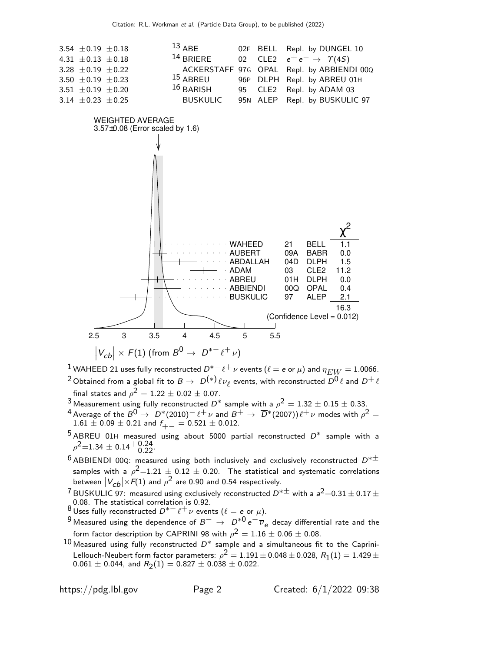

<sup>1</sup> WAHEED 21 uses fully reconstructed  $D^{*-} \ell^+ \nu$  events ( $\ell = e$  or  $\mu$ ) and  $\eta_{EW} = 1.0066$ .  $^2$ Obtained from a global fit to  $B\to~D^{(*)}\ell\nu_\ell$  events, with reconstructed  $\stackrel{\sim}{D^0}\ell$  and  $D^+\ell$ final states and  $\rho^2=1.22\pm 0.02\pm 0.07.$ 

- 3 Measurement using fully reconstructed  $D^*$  sample with a  $\rho^2 = 1.32 \pm 0.15 \pm 0.33$ .
- 4 Average of the  $B^0 \to D^*(2010)^-\ell^+\nu$  and  $B^+ \to \overline{D}^*(2007))\ell^+\nu$  modes with  $\rho^2=0$  $1.61 \pm 0.09 \pm 0.21$  and  $f_{+-} = 0.521 \pm 0.012$ .
- $5$  ABREU 01H measured using about 5000 partial reconstructed  $D^*$  sample with a  $\rho^2$ =1.34  $\pm$  0.14 $^{+0.24}_{-0.22}$ .
- $6$  ABBIENDI 00Q: measured using both inclusively and exclusively reconstructed  $D^{*\pm}$ samples with a  $\rho^2{=}1.21$   $\pm$  0.12  $\pm$  0.20. The statistical and systematic correlations between  $|V_{\bm{C}\bm{b}}| \times F(1)$  and  $\rho^2$  are 0.90 and 0.54 respectively.
- $7$  BUSKULIC 97: measured using exclusively reconstructed  $D^{*\pm}$  with a  $a^2$  = 0.31  $\pm$  0.17  $\pm$ 0.08. The statistical correlation is 0.92.
- 8 Uses fully reconstructed  $D^{*-} \ell^+ \nu$  events  $(\ell = e \text{ or } \mu)$ .
- 9 Measured using the dependence of  $B^ \rightarrow$   $D^{*0}e^-\overline{\nu}_e$  decay differential rate and the form factor description by CAPRINI 98 with  $\rho^2=1.16\pm0.06\pm0.08.$
- $10$  Measured using fully reconstructed  $D^*$  sample and a simultaneous fit to the Caprini-Lellouch-Neubert form factor parameters:  $\rho^2 = 1.191 \pm 0.048 \pm 0.028$ ,  $R_1(1) = 1.429 \pm 0.023$  $0.061 \pm 0.044$ , and  $R_2(1) = 0.827 \pm 0.038 \pm 0.022$ .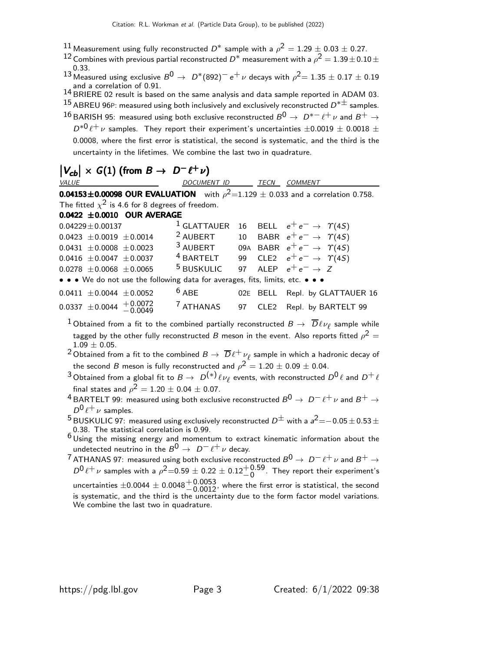- $^{11}$  Measurement using fully reconstructed  $D^*$  sample with a  $\rho^2 = 1.29 \pm 0.03 \pm 0.27.$
- 12 Combines with previous partial reconstructed  $D^*$  measurement with a  $\rho^2 = 1.39 \pm 0.10 \pm 1.00$ 0.33.
- 13 Measured using exclusive  $B^0 \rightarrow D^*(892)^- e^+ \nu$  decays with  $\rho^2 = 1.35 \pm 0.17 \pm 0.19$ and a correlation of 0.91.
- 14 BRIERE 02 result is based on the same analysis and data sample reported in ADAM 03.  $^{15}$  ABREU 96P: measured using both inclusively and exclusively reconstructed  $D^{*\pm}$  samples.
- 16 BARISH 95: measured using both exclusive reconstructed  $B^0 \rightarrow D^{*-} \ell^+ \nu$  and  $B^+ \rightarrow$  $D^{*0}$  $\ell^+$   $\nu$  samples. They report their experiment's uncertainties  $\pm 0.0019 \pm 0.0018 \pm 0.001$ 0.0008, where the first error is statistical, the second is systematic, and the third is the uncertainty in the lifetimes. We combine the last two in quadrature.

| $ V_{cb}  \times G(1)$ (from $B \to D^- \ell^+ \nu$ )                                       |                          |  |  |                                                                |  |  |  |
|---------------------------------------------------------------------------------------------|--------------------------|--|--|----------------------------------------------------------------|--|--|--|
| VALUE                                                                                       | DOCUMENT ID TECN COMMENT |  |  |                                                                |  |  |  |
| <b>0.04153±0.00098 OUR EVALUATION</b> with $\rho^2$ =1.129 ± 0.033 and a correlation 0.758. |                          |  |  |                                                                |  |  |  |
| The fitted $\chi^2$ is 4.6 for 8 degrees of freedom.                                        |                          |  |  |                                                                |  |  |  |
| $0.0422 \pm 0.0010$ OUR AVERAGE                                                             |                          |  |  |                                                                |  |  |  |
| $0.04229 \pm 0.00137$                                                                       |                          |  |  | <sup>1</sup> GLATTAUER 16 BELL $e^+e^- \rightarrow \gamma(4S)$ |  |  |  |
| $0.0423 \pm 0.0019 \pm 0.0014$                                                              | <sup>2</sup> AUBERT      |  |  | 10 BABR $e^+e^- \rightarrow \gamma(4S)$                        |  |  |  |
| $0.0431 \pm 0.0008 \pm 0.0023$                                                              | $3$ AUBERT               |  |  | 09A BABR $e^+e^- \rightarrow \Upsilon(4S)$                     |  |  |  |
| $0.0416 \pm 0.0047 \pm 0.0037$                                                              |                          |  |  | <sup>4</sup> BARTELT 99 CLE2 $e^+e^- \rightarrow \gamma(45)$   |  |  |  |
| $0.0278 + 0.0068 + 0.0065$                                                                  | <sup>5</sup> BUSKULIC    |  |  | 97 ALEP $e^+e^- \rightarrow Z$                                 |  |  |  |
| • • • We do not use the following data for averages, fits, limits, etc. • • •               |                          |  |  |                                                                |  |  |  |
| $0.0411 \pm 0.0044 \pm 0.0052$                                                              | $6$ ABE                  |  |  | 02E BELL Repl. by GLATTAUER 16                                 |  |  |  |
| $0.0337 \pm 0.0044 + 0.0072$                                                                | <sup>7</sup> ATHANAS     |  |  | 97 CLE2 Repl. by BARTELT 99                                    |  |  |  |

- $^1$  Obtained from a fit to the combined partially reconstructed  $B\to \overline D \ell \nu_\ell$  sample while tagged by the other fully reconstructed  $B$  meson in the event. Also reports fitted  $\rho^2=$  $1.09\pm0.05.$
- $^2$ Obtained from a fit to the combined  $B\to\ \overline D \ell^+\ \nu_\ell$  sample in which a hadronic decay of the second  $B$  meson is fully reconstructed and  $\rho^2=1.20\pm0.09\pm0.04.$
- $^3$ Obtained from a global fit to  $B\to~D^{(*)}\ell\nu_\ell$  events, with reconstructed  $D^0\ell$  and  $D^+\ell$ final states and  $\rho^2=1.20\pm0.04\pm0.07.$
- <sup>4</sup> BARTELT 99: measured using both exclusive reconstructed  $B^0 \rightarrow D^- \ell^+ \nu$  and  $B^+ \rightarrow$  $D^0\ell^+\nu$  samples.
- $^5$  BUSKULIC 97: measured using exclusively reconstructed  $D^\pm$  with a  $a^2$   $=$   $-$  0.05  $\pm$  0.53  $\pm$ 0.38. The statistical correlation is 0.99.
- 6 Using the missing energy and momentum to extract kinematic information about the undetected neutrino in the  $B^0 \rightarrow D^- \ell^+ \nu$  decay.

7 ATHANAS 97: measured using both exclusive reconstructed  $B^0 \to D^- \ell^+ \nu$  and  $B^+ \to$  $D^0\ell^+\nu$  samples with a  $\rho^2$ =0.59  $\pm$  0.22  $\pm$  0.12 $^+$ 0.59. They report their experiment's uncertainties  $\pm 0.0044 \pm 0.0048 \frac{+0.0053}{-0.0012}$ , where the first error is statistical, the second is systematic, and the third is the uncertainty due to the form factor model variations. We combine the last two in quadrature.